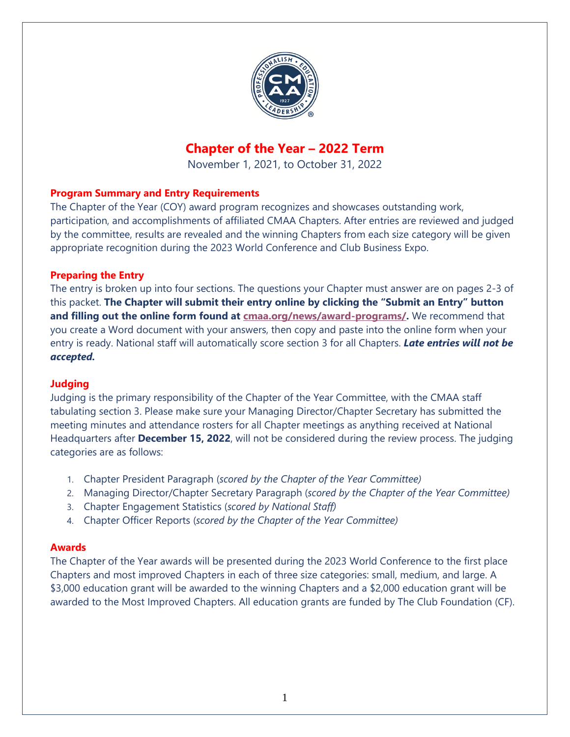

# **Chapter of the Year – 2022 Term**

November 1, 2021, to October 31, 2022

#### **Program Summary and Entry Requirements**

The Chapter of the Year (COY) award program recognizes and showcases outstanding work, participation, and accomplishments of affiliated CMAA Chapters. After entries are reviewed and judged by the committee, results are revealed and the winning Chapters from each size category will be given appropriate recognition during the 2023 World Conference and Club Business Expo.

#### **Preparing the Entry**

The entry is broken up into four sections. The questions your Chapter must answer are on pages 2-3 of this packet. **The Chapter will submit their entry online by clicking the "Submit an Entry" button and filling out the online form found at [cmaa.org/news/award-programs/.](https://www.cmaa.org/news/award-programs/)** We recommend that you create a Word document with your answers, then copy and paste into the online form when your entry is ready. National staff will automatically score section 3 for all Chapters. *Late entries will not be accepted.*

#### **Judging**

Judging is the primary responsibility of the Chapter of the Year Committee, with the CMAA staff tabulating section 3. Please make sure your Managing Director/Chapter Secretary has submitted the meeting minutes and attendance rosters for all Chapter meetings as anything received at National Headquarters after **December 15, 2022**, will not be considered during the review process. The judging categories are as follows:

- 1. Chapter President Paragraph (*scored by the Chapter of the Year Committee)*
- 2. Managing Director/Chapter Secretary Paragraph (*scored by the Chapter of the Year Committee)*
- 3. Chapter Engagement Statistics (*scored by National Staff)*
- 4. Chapter Officer Reports (*scored by the Chapter of the Year Committee)*

#### **Awards**

The Chapter of the Year awards will be presented during the 2023 World Conference to the first place Chapters and most improved Chapters in each of three size categories: small, medium, and large. A \$3,000 education grant will be awarded to the winning Chapters and a \$2,000 education grant will be awarded to the Most Improved Chapters. All education grants are funded by The Club Foundation (CF).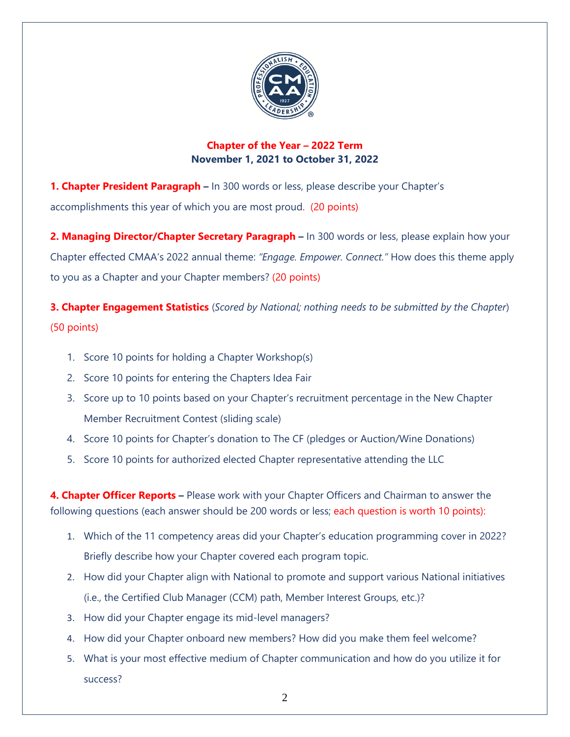

### **Chapter of the Year – 2022 Term November 1, 2021 to October 31, 2022**

**1. Chapter President Paragraph –** In 300 words or less, please describe your Chapter's accomplishments this year of which you are most proud. (20 points)

**2. Managing Director/Chapter Secretary Paragraph –** In 300 words or less, please explain how your Chapter effected CMAA's 2022 annual theme: *"Engage. Empower. Connect."* How does this theme apply to you as a Chapter and your Chapter members? (20 points)

**3. Chapter Engagement Statistics** (*Scored by National; nothing needs to be submitted by the Chapter*) (50 points)

- 1. Score 10 points for holding a Chapter Workshop(s)
- 2. Score 10 points for entering the Chapters Idea Fair
- 3. Score up to 10 points based on your Chapter's recruitment percentage in the New Chapter Member Recruitment Contest (sliding scale)
- 4. Score 10 points for Chapter's donation to The CF (pledges or Auction/Wine Donations)
- 5. Score 10 points for authorized elected Chapter representative attending the LLC

**4. Chapter Officer Reports –** Please work with your Chapter Officers and Chairman to answer the following questions (each answer should be 200 words or less; each question is worth 10 points):

- 1. Which of the 11 competency areas did your Chapter's education programming cover in 2022? Briefly describe how your Chapter covered each program topic.
- 2. How did your Chapter align with National to promote and support various National initiatives (i.e., the Certified Club Manager (CCM) path, Member Interest Groups, etc.)?
- 3. How did your Chapter engage its mid-level managers?
- 4. How did your Chapter onboard new members? How did you make them feel welcome?
- 5. What is your most effective medium of Chapter communication and how do you utilize it for success?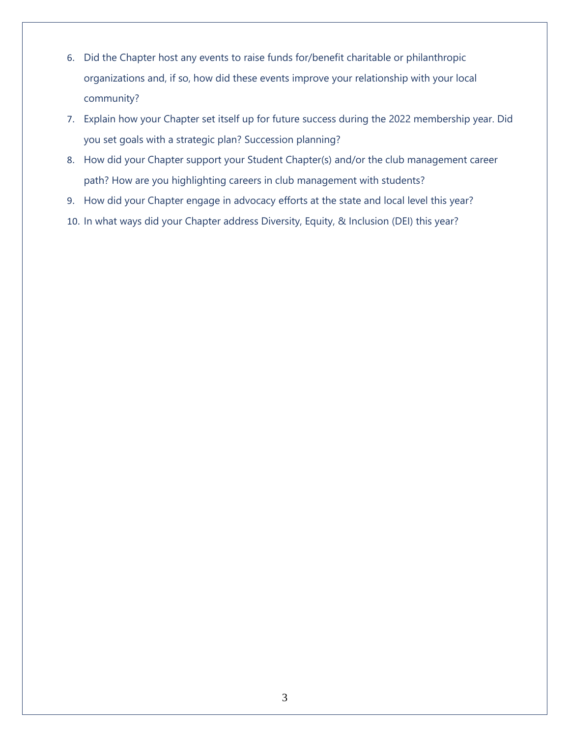- 6. Did the Chapter host any events to raise funds for/benefit charitable or philanthropic organizations and, if so, how did these events improve your relationship with your local community?
- 7. Explain how your Chapter set itself up for future success during the 2022 membership year. Did you set goals with a strategic plan? Succession planning?
- 8. How did your Chapter support your Student Chapter(s) and/or the club management career path? How are you highlighting careers in club management with students?
- 9. How did your Chapter engage in advocacy efforts at the state and local level this year?
- 10. In what ways did your Chapter address Diversity, Equity, & Inclusion (DEI) this year?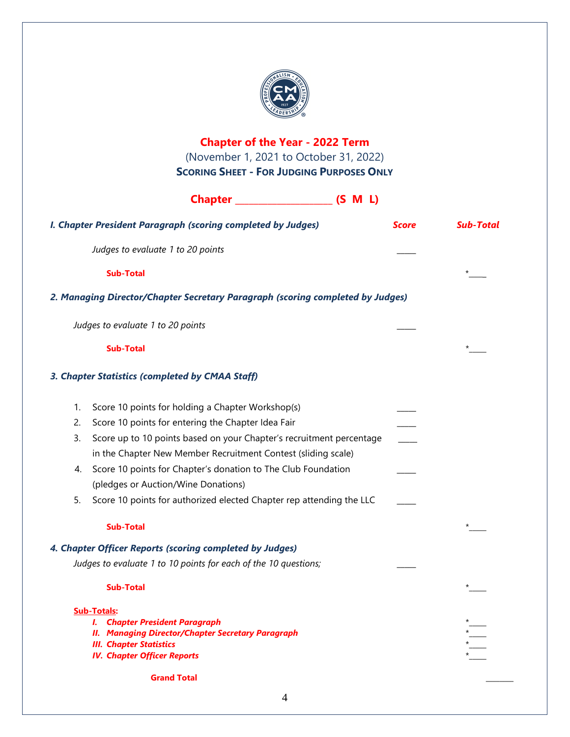

|                                                                                                   | <b>Chapter of the Year - 2022 Term</b><br>(November 1, 2021 to October 31, 2022) |              |                  |
|---------------------------------------------------------------------------------------------------|----------------------------------------------------------------------------------|--------------|------------------|
|                                                                                                   | <b>SCORING SHEET - FOR JUDGING PURPOSES ONLY</b>                                 |              |                  |
|                                                                                                   |                                                                                  |              |                  |
|                                                                                                   |                                                                                  |              |                  |
|                                                                                                   | I. Chapter President Paragraph (scoring completed by Judges)                     | <b>Score</b> | <b>Sub-Total</b> |
|                                                                                                   | Judges to evaluate 1 to 20 points                                                |              |                  |
|                                                                                                   | <b>Sub-Total</b>                                                                 |              | *                |
|                                                                                                   | 2. Managing Director/Chapter Secretary Paragraph (scoring completed by Judges)   |              |                  |
|                                                                                                   | Judges to evaluate 1 to 20 points                                                |              |                  |
|                                                                                                   | <b>Sub-Total</b>                                                                 |              | $\star$          |
|                                                                                                   | 3. Chapter Statistics (completed by CMAA Staff)                                  |              |                  |
| 1.                                                                                                | Score 10 points for holding a Chapter Workshop(s)                                |              |                  |
| 2.                                                                                                | Score 10 points for entering the Chapter Idea Fair                               |              |                  |
| 3.                                                                                                | Score up to 10 points based on your Chapter's recruitment percentage             |              |                  |
|                                                                                                   | in the Chapter New Member Recruitment Contest (sliding scale)                    |              |                  |
| 4.                                                                                                | Score 10 points for Chapter's donation to The Club Foundation                    |              |                  |
|                                                                                                   | (pledges or Auction/Wine Donations)                                              |              |                  |
| 5.                                                                                                | Score 10 points for authorized elected Chapter rep attending the LLC             |              |                  |
|                                                                                                   | <b>Sub-Total</b>                                                                 |              | $\star$          |
|                                                                                                   | 4. Chapter Officer Reports (scoring completed by Judges)                         |              |                  |
|                                                                                                   | Judges to evaluate 1 to 10 points for each of the 10 questions;                  |              |                  |
|                                                                                                   | <b>Sub-Total</b>                                                                 |              |                  |
| <b>Sub-Totals:</b>                                                                                |                                                                                  |              |                  |
| <b>I. Chapter President Paragraph</b><br><b>II. Managing Director/Chapter Secretary Paragraph</b> |                                                                                  |              |                  |
|                                                                                                   | <b>III. Chapter Statistics</b>                                                   |              |                  |
|                                                                                                   | <b>IV. Chapter Officer Reports</b>                                               |              |                  |
|                                                                                                   | <b>Grand Total</b>                                                               |              |                  |